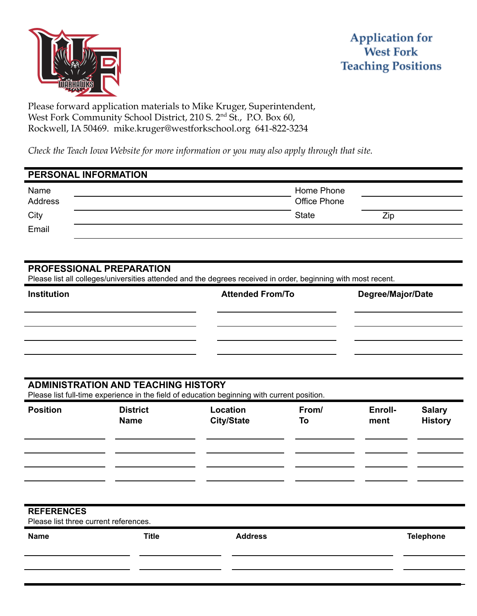

Please forward application materials to Mike Kruger, Superintendent, West Fork Community School District, 210 S. 2<sup>nd</sup> St., P.O. Box 60, Rockwell, IA 50469. mike.kruger@westforkschool.org 641-822-3234

*Check the Teach Iowa Website for more information or you may also apply through that site.*

# **PERSONAL INFORMATION** Name **Home Phone** Phone Phone Phone Phone Phone Phone Phone Phone Phone Phone Phone Phone Phone Phone Phone Phone Phone Phone Phone Phone Phone Phone Phone Phone Phone Phone Phone Phone Phone Phone Phone Phone Phone Phone Address **Office Phone** City and the City of the City of the City of the City of the City of the City of the City of the City of the City

# **PROFESSIONAL PREPARATION**

Email

Please list all colleges/universities attended and the degrees received in order, beginning with most recent.

| <b>Institution</b> | <b>Attended From/To</b> | Degree/Major/Date |
|--------------------|-------------------------|-------------------|
|                    |                         |                   |
|                    |                         |                   |
|                    |                         |                   |

#### **ADMINISTRATION AND TEACHING HISTORY**

Please list full-time experience in the field of education beginning with current position.

| <b>Position</b> | <b>District</b><br><b>Name</b> | Location<br><b>City/State</b> | From/<br>To | Enroll-<br>ment | <b>Salary</b><br><b>History</b> |
|-----------------|--------------------------------|-------------------------------|-------------|-----------------|---------------------------------|
|                 |                                |                               |             |                 |                                 |
|                 |                                |                               |             |                 |                                 |
|                 |                                |                               |             |                 |                                 |

### **REFERENCES**

Please list three current references.

| <b>Name</b> | <b>Title</b> | <b>Address</b> | Telephone |
|-------------|--------------|----------------|-----------|
|             |              |                |           |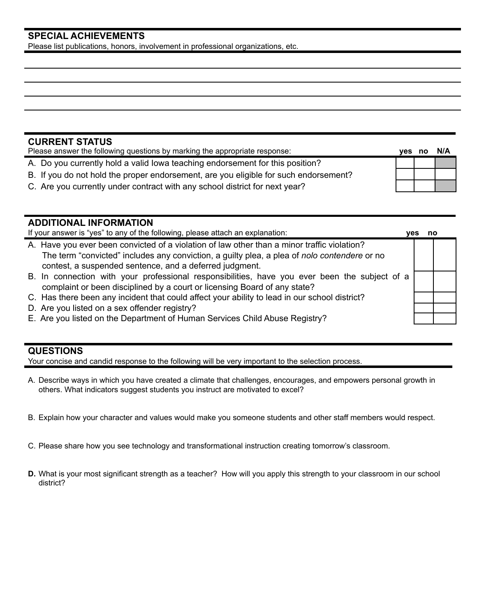# **SPECIAL ACHIEVEMENTS**

Please list publications, honors, involvement in professional organizations, etc.

# **CURRENT STATUS**

| Please answer the following questions by marking the appropriate response:           |  | N/A |
|--------------------------------------------------------------------------------------|--|-----|
| A. Do you currently hold a valid lowa teaching endorsement for this position?        |  |     |
| B. If you do not hold the proper endorsement, are you eligible for such endorsement? |  |     |
| C. Are you currently under contract with any school district for next year?          |  |     |

| <b>ADDITIONAL INFORMATION</b>                                                                                                                                                                                                                          |      |    |
|--------------------------------------------------------------------------------------------------------------------------------------------------------------------------------------------------------------------------------------------------------|------|----|
| If your answer is "yes" to any of the following, please attach an explanation:                                                                                                                                                                         | ves. | no |
| A. Have you ever been convicted of a violation of law other than a minor traffic violation?<br>The term "convicted" includes any conviction, a guilty plea, a plea of nolo contendere or no<br>contest, a suspended sentence, and a deferred judgment. |      |    |
| B. In connection with your professional responsibilities, have you ever been the subject of a<br>complaint or been disciplined by a court or licensing Board of any state?                                                                             |      |    |
| C. Has there been any incident that could affect your ability to lead in our school district?                                                                                                                                                          |      |    |
| D. Are you listed on a sex offender registry?                                                                                                                                                                                                          |      |    |
| E. Are you listed on the Department of Human Services Child Abuse Registry?                                                                                                                                                                            |      |    |

#### **QUESTIONS**

Your concise and candid response to the following will be very important to the selection process.

- A. Describe ways in which you have created a climate that challenges, encourages, and empowers personal growth in others. What indicators suggest students you instruct are motivated to excel?
- B. Explain how your character and values would make you someone students and other staff members would respect.
- C. Please share how you see technology and transformational instruction creating tomorrow's classroom.
- **D.** What is your most significant strength as a teacher? How will you apply this strength to your classroom in our school district?